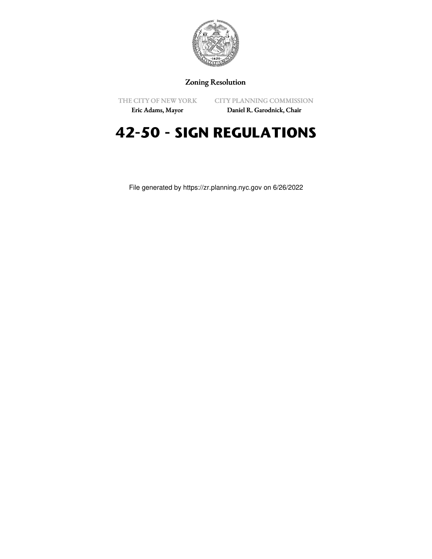

## Zoning Resolution

THE CITY OF NEW YORK

CITY PLANNING COMMISSION

Eric Adams, Mayor

Daniel R. Garodnick, Chair

# **42-50 - SIGN REGULATIONS**

File generated by https://zr.planning.nyc.gov on 6/26/2022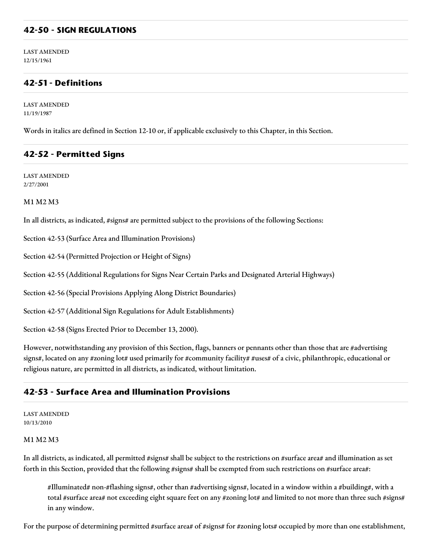#### **42-50 - SIGN REGULATIONS**

LAST AMENDED 12/15/1961

## **42-51 - Definitions**

LAST AMENDED 11/19/1987

Words in italics are defined in Section 12-10 or, if applicable exclusively to this Chapter, in this Section.

#### **42-52 - Permitted Signs**

LAST AMENDED 2/27/2001

#### M1 M2 M3

In all districts, as indicated, #signs# are permitted subject to the provisions of the following Sections:

Section 42-53 (Surface Area and Illumination Provisions)

Section 42-54 (Permitted Projection or Height of Signs)

Section 42-55 (Additional Regulations for Signs Near Certain Parks and Designated Arterial Highways)

Section 42-56 (Special Provisions Applying Along District Boundaries)

Section 42-57 (Additional Sign Regulations for Adult Establishments)

Section 42-58 (Signs Erected Prior to December 13, 2000).

However, notwithstanding any provision of this Section, flags, banners or pennants other than those that are #advertising signs#, located on any #zoning lot# used primarily for #community facility# #uses# of a civic, philanthropic, educational or religious nature, are permitted in all districts, as indicated, without limitation.

#### **42-53 - Surface Area and Illumination Provisions**

LAST AMENDED 10/13/2010

#### M1 M2 M3

In all districts, as indicated, all permitted #signs# shall be subject to the restrictions on #surface area# and illumination as set forth in this Section, provided that the following #signs# shall be exempted from such restrictions on #surface area#:

#Illuminated# non-#flashing signs#, other than #advertising signs#, located in a window within a #building#, with a total #surface area# not exceeding eight square feet on any #zoning lot# and limited to not more than three such #signs# in any window.

For the purpose of determining permitted #surface area# of #signs# for #zoning lots# occupied by more than one establishment,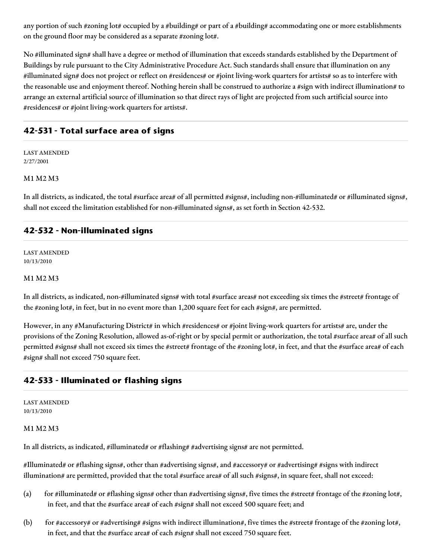any portion of such #zoning lot# occupied by a #building# or part of a #building# accommodating one or more establishments on the ground floor may be considered as a separate #zoning lot#.

No #illuminated sign# shall have a degree or method of illumination that exceeds standards established by the Department of Buildings by rule pursuant to the City Administrative Procedure Act. Such standards shall ensure that illumination on any #illuminated sign# does not project or reflect on #residences# or #joint living-work quarters for artists# so as to interfere with the reasonable use and enjoyment thereof. Nothing herein shall be construed to authorize a #sign with indirect illumination# to arrange an external artificial source of illumination so that direct rays of light are projected from such artificial source into #residences# or #joint living-work quarters for artists#.

## **42-531 - Total surface area of signs**

LAST AMENDED 2/27/2001

#### M1 M2 M3

In all districts, as indicated, the total #surface area# of all permitted #signs#, including non-#illuminated# or #illuminated signs#, shall not exceed the limitation established for non-#illuminated signs#, as set forth in Section 42-532.

#### **42-532 - Non-illuminated signs**

LAST AMENDED 10/13/2010

#### M1 M2 M3

In all districts, as indicated, non-#illuminated signs# with total #surface areas# not exceeding six times the #street# frontage of the #zoning lot#, in feet, but in no event more than 1,200 square feet for each #sign#, are permitted.

However, in any #Manufacturing District# in which #residences# or #joint living-work quarters for artists# are, under the provisions of the Zoning Resolution, allowed as-of-right or by special permit or authorization, the total #surface area# of all such permitted #signs# shall not exceed six times the #street# frontage of the #zoning lot#, in feet, and that the #surface area# of each #sign# shall not exceed 750 square feet.

## **42-533 - Illuminated or flashing signs**

LAST AMENDED 10/13/2010

#### M1 M2 M3

In all districts, as indicated, #illuminated# or #flashing# #advertising signs# are not permitted.

#Illuminated# or #flashing signs#, other than #advertising signs#, and #accessory# or #advertising# #signs with indirect illumination# are permitted, provided that the total #surface area# of all such #signs#, in square feet, shall not exceed:

- (a) for #illuminated# or #flashing signs# other than #advertising signs#, five times the #street# frontage of the #zoning lot#, in feet, and that the #surface area# of each #sign# shall not exceed 500 square feet; and
- (b) for #accessory# or #advertising# #signs with indirect illumination#, five times the #street# frontage of the #zoning lot#, in feet, and that the #surface area# of each #sign# shall not exceed 750 square feet.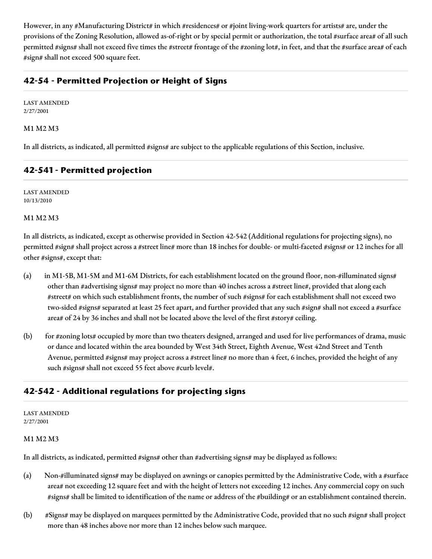However, in any #Manufacturing District# in which #residences# or #joint living-work quarters for artists# are, under the provisions of the Zoning Resolution, allowed as-of-right or by special permit or authorization, the total #surface area# of all such permitted #signs# shall not exceed five times the #street# frontage of the #zoning lot#, in feet, and that the #surface area# of each #sign# shall not exceed 500 square feet.

## **42-54 - Permitted Projection or Height of Signs**

LAST AMENDED 2/27/2001

#### M1 M2 M3

In all districts, as indicated, all permitted #signs# are subject to the applicable regulations of this Section, inclusive.

## **42-541 - Permitted projection**

LAST AMENDED 10/13/2010

M1 M2 M3

In all districts, as indicated, except as otherwise provided in Section 42-542 (Additional regulations for projecting signs), no permitted #sign# shall project across a #street line# more than 18 inches for double- or multi-faceted #signs# or 12 inches for all other #signs#, except that:

- (a) in M1-5B, M1-5M and M1-6M Districts, for each establishment located on the ground floor, non-#illuminated signs# other than #advertising signs# may project no more than 40 inches across a #street line#, provided that along each #street# on which such establishment fronts, the number of such #signs# for each establishment shall not exceed two two-sided #signs# separated at least 25 feet apart, and further provided that any such #sign# shall not exceed a #surface area# of 24 by 36 inches and shall not be located above the level of the first #story# ceiling.
- (b) for #zoning lots# occupied by more than two theaters designed, arranged and used for live performances of drama, music or dance and located within the area bounded by West 34th Street, Eighth Avenue, West 42nd Street and Tenth Avenue, permitted #signs# may project across a #street line# no more than 4 feet, 6 inches, provided the height of any such #signs# shall not exceed 55 feet above #curb level#.

## **42-542 - Additional regulations for projecting signs**

LAST AMENDED 2/27/2001

#### M1 M2 M3

In all districts, as indicated, permitted #signs# other than #advertising signs# may be displayed as follows:

- (a) Non-#illuminated signs# may be displayed on awnings or canopies permitted by the Administrative Code, with a #surface area# not exceeding 12 square feet and with the height of letters not exceeding 12 inches. Any commercial copy on such #signs# shall be limited to identification of the name or address of the #building# or an establishment contained therein.
- (b) #Signs# may be displayed on marquees permitted by the Administrative Code, provided that no such #sign# shall project more than 48 inches above nor more than 12 inches below such marquee.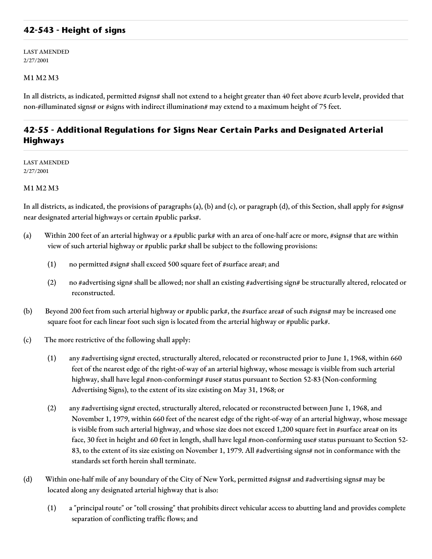### **42-543 - Height of signs**

LAST AMENDED 2/27/2001

#### M1 M2 M3

In all districts, as indicated, permitted #signs# shall not extend to a height greater than 40 feet above #curb level#, provided that non-#illuminated signs# or #signs with indirect illumination# may extend to a maximum height of 75 feet.

## **42-55 - Additional Regulations for Signs Near Certain Parks and Designated Arterial Highways**

LAST AMENDED 2/27/2001

#### M1 M2 M3

In all districts, as indicated, the provisions of paragraphs (a), (b) and (c), or paragraph (d), of this Section, shall apply for #signs# near designated arterial highways or certain #public parks#.

- (a) Within 200 feet of an arterial highway or a #public park# with an area of one-half acre or more, #signs# that are within view of such arterial highway or #public park# shall be subject to the following provisions:
	- (1) no permitted #sign# shall exceed 500 square feet of #surface area#; and
	- (2) no #advertising sign# shall be allowed; nor shall an existing #advertising sign# be structurally altered, relocated or reconstructed.
- (b) Beyond 200 feet from such arterial highway or #public park#, the #surface area# of such #signs# may be increased one square foot for each linear foot such sign is located from the arterial highway or #public park#.
- (c) The more restrictive of the following shall apply:
	- (1) any #advertising sign# erected, structurally altered, relocated or reconstructed prior to June 1, 1968, within 660 feet of the nearest edge of the right-of-way of an arterial highway, whose message is visible from such arterial highway, shall have legal #non-conforming# #use# status pursuant to Section 52-83 (Non-conforming Advertising Signs), to the extent of its size existing on May 31, 1968; or
	- (2) any #advertising sign# erected, structurally altered, relocated or reconstructed between June 1, 1968, and November 1, 1979, within 660 feet of the nearest edge of the right-of-way of an arterial highway, whose message is visible from such arterial highway, and whose size does not exceed 1,200 square feet in #surface area# on its face, 30 feet in height and 60 feet in length, shall have legal #non-conforming use# status pursuant to Section 52-83, to the extent of its size existing on November 1, 1979. All #advertising signs# not in conformance with the standards set forth herein shall terminate.
- (d) Within one-half mile of any boundary of the City of New York, permitted #signs# and #advertising signs# may be located along any designated arterial highway that is also:
	- (1) a "principal route" or "toll crossing" that prohibits direct vehicular access to abutting land and provides complete separation of conflicting traffic flows; and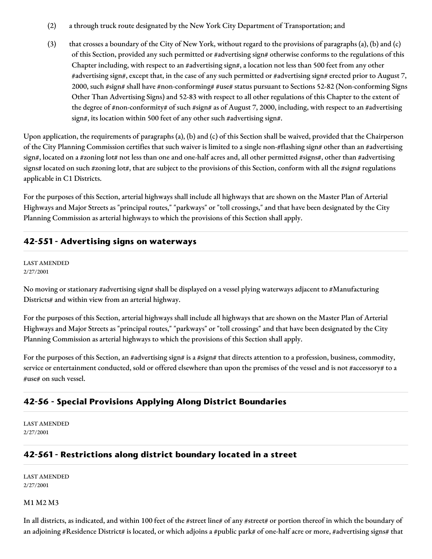- (2) a through truck route designated by the New York City Department of Transportation; and
- (3) that crosses a boundary of the City of New York, without regard to the provisions of paragraphs (a), (b) and (c) of this Section, provided any such permitted or #advertising sign# otherwise conforms to the regulations of this Chapter including, with respect to an #advertising sign#, a location not less than 500 feet from any other #advertising sign#, except that, in the case of any such permitted or #advertising sign# erected prior to August 7, 2000, such #sign# shall have #non-conforming# #use# status pursuant to Sections 52-82 (Non-conforming Signs Other Than Advertising Signs) and 52-83 with respect to all other regulations of this Chapter to the extent of the degree of #non-conformity# of such #sign# as of August 7, 2000, including, with respect to an #advertising sign#, its location within 500 feet of any other such #advertising sign#.

Upon application, the requirements of paragraphs (a), (b) and (c) of this Section shall be waived, provided that the Chairperson of the City Planning Commission certifies that such waiver is limited to a single non-#flashing sign# other than an #advertising sign#, located on a #zoning lot# not less than one and one-half acres and, all other permitted #signs#, other than #advertising signs# located on such #zoning lot#, that are subject to the provisions of this Section, conform with all the #sign# regulations applicable in C1 Districts.

For the purposes of this Section, arterial highways shall include all highways that are shown on the Master Plan of Arterial Highways and Major Streets as "principal routes," "parkways" or "toll crossings," and that have been designated by the City Planning Commission as arterial highways to which the provisions of this Section shall apply.

## **42-551 - Advertising signs on waterways**

LAST AMENDED 2/27/2001

No moving or stationary #advertising sign# shall be displayed on a vessel plying waterways adjacent to #Manufacturing Districts# and within view from an arterial highway.

For the purposes of this Section, arterial highways shall include all highways that are shown on the Master Plan of Arterial Highways and Major Streets as "principal routes," "parkways" or "toll crossings" and that have been designated by the City Planning Commission as arterial highways to which the provisions of this Section shall apply.

For the purposes of this Section, an #advertising sign# is a #sign# that directs attention to a profession, business, commodity, service or entertainment conducted, sold or offered elsewhere than upon the premises of the vessel and is not #accessory# to a #use# on such vessel.

## **42-56 - Special Provisions Applying Along District Boundaries**

LAST AMENDED 2/27/2001

## **42-561 - Restrictions along district boundary located in a street**

LAST AMENDED 2/27/2001

#### M1 M2 M3

In all districts, as indicated, and within 100 feet of the #street line# of any #street# or portion thereof in which the boundary of an adjoining #Residence District# is located, or which adjoins a #public park# of one-half acre or more, #advertising signs# that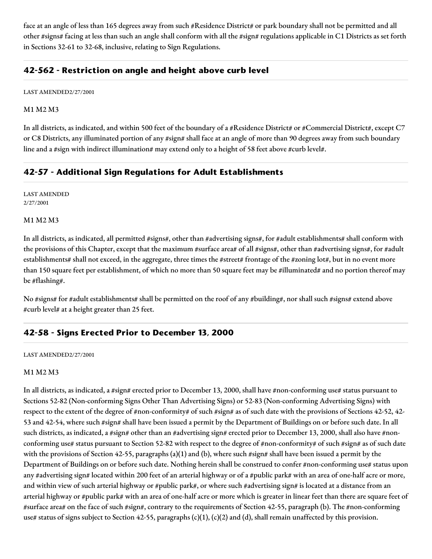face at an angle of less than 165 degrees away from such #Residence District# or park boundary shall not be permitted and all other #signs# facing at less than such an angle shall conform with all the #sign# regulations applicable in C1 Districts as set forth in Sections 32-61 to 32-68, inclusive, relating to Sign Regulations.

## **42-562 - Restriction on angle and height above curb level**

LAST AMENDED2/27/2001

#### M1 M2 M3

In all districts, as indicated, and within 500 feet of the boundary of a #Residence District# or #Commercial District#, except C7 or C8 Districts, any illuminated portion of any #sign# shall face at an angle of more than 90 degrees away from such boundary line and a #sign with indirect illumination# may extend only to a height of 58 feet above #curb level#.

## **42-57 - Additional Sign Regulations for Adult Establishments**

LAST AMENDED 2/27/2001

#### M1 M2 M3

In all districts, as indicated, all permitted #signs#, other than #advertising signs#, for #adult establishments# shall conform with the provisions of this Chapter, except that the maximum #surface area# of all #signs#, other than #advertising signs#, for #adult establishments# shall not exceed, in the aggregate, three times the #street# frontage of the #zoning lot#, but in no event more than 150 square feet per establishment, of which no more than 50 square feet may be #illuminated# and no portion thereof may be #flashing#.

No #signs# for #adult establishments# shall be permitted on the roof of any #building#, nor shall such #signs# extend above #curb level# at a height greater than 25 feet.

#### **42-58 - Signs Erected Prior to December 13, 2000**

#### LAST AMENDED2/27/2001

#### M1 M2 M3

In all districts, as indicated, a #sign# erected prior to December 13, 2000, shall have #non-conforming use# status pursuant to Sections 52-82 (Non-conforming Signs Other Than Advertising Signs) or 52-83 (Non-conforming Advertising Signs) with respect to the extent of the degree of #non-conformity# of such #sign# as of such date with the provisions of Sections 42-52, 42-53 and 42-54, where such #sign# shall have been issued a permit by the Department of Buildings on or before such date. In all such districts, as indicated, a #sign# other than an #advertising sign# erected prior to December 13, 2000, shall also have #nonconforming use# status pursuant to Section 52-82 with respect to the degree of #non-conformity# of such #sign# as of such date with the provisions of Section 42-55, paragraphs (a)(1) and (b), where such #sign# shall have been issued a permit by the Department of Buildings on or before such date. Nothing herein shall be construed to confer #non-conforming use# status upon any #advertising sign# located within 200 feet of an arterial highway or of a #public park# with an area of one-half acre or more, and within view of such arterial highway or #public park#, or where such #advertising sign# is located at a distance from an arterial highway or #public park# with an area of one-half acre or more which is greater in linear feet than there are square feet of #surface area# on the face of such #sign#, contrary to the requirements of Section 42-55, paragraph (b). The #non-conforming use# status of signs subject to Section 42-55, paragraphs  $(c)(1)$ ,  $(c)(2)$  and (d), shall remain unaffected by this provision.